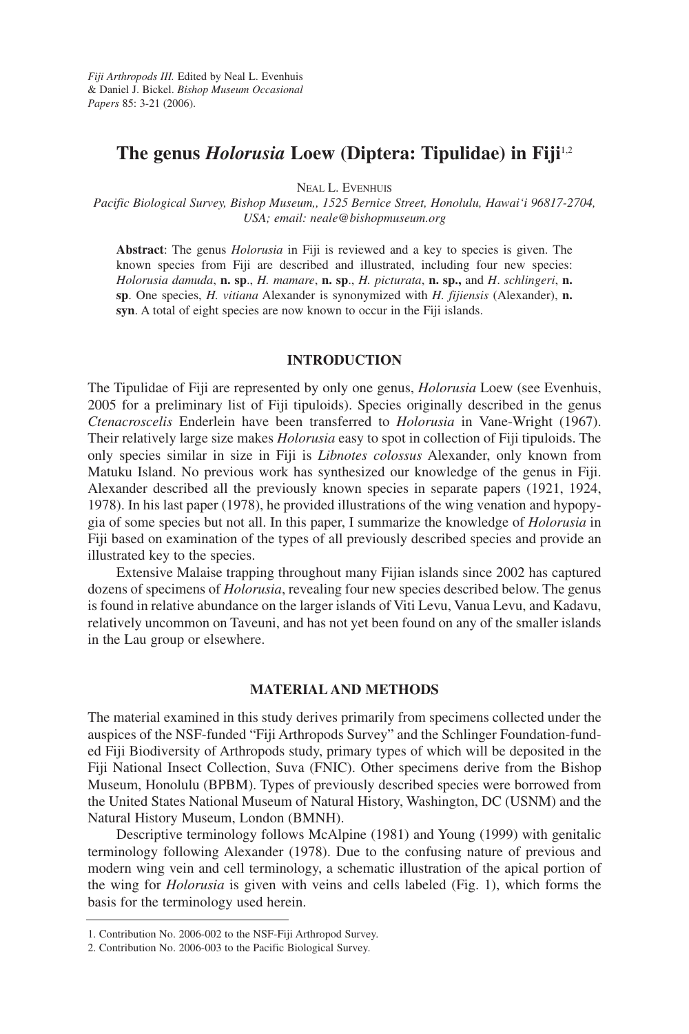# **The genus** *Holorusia* **Loew (Diptera: Tipulidae) in Fiji**1,2

NEAL L. EVENHUIS

*Pacific Biological Survey, Bishop Museum,, 1525 Bernice Street, Honolulu, Hawai'i 96817-2704, USA; email: neale@bishopmuseum.org*

**Abstract**: The genus *Holorusia* in Fiji is reviewed and a key to species is given. The known species from Fiji are described and illustrated, including four new species: *Holorusia damuda*, **n. sp**., *H. mamare*, **n. sp**., *H. picturata*, **n. sp.,** and *H*. *schlingeri*, **n. sp**. One species, *H. vitiana* Alexander is synonymized with *H. fijiensis* (Alexander), **n. syn**. A total of eight species are now known to occur in the Fiji islands.

### **INTRODUCTION**

The Tipulidae of Fiji are represented by only one genus, *Holorusia* Loew (see Evenhuis, 2005 for a preliminary list of Fiji tipuloids). Species originally described in the genus *Ctenacroscelis* Enderlein have been transferred to *Holorusia* in Vane-Wright (1967). Their relatively large size makes *Holorusia* easy to spot in collection of Fiji tipuloids. The only species similar in size in Fiji is *Libnotes colossus* Alexander, only known from Matuku Island. No previous work has synthesized our knowledge of the genus in Fiji. Alexander described all the previously known species in separate papers (1921, 1924, 1978). In his last paper (1978), he provided illustrations of the wing venation and hypopygia of some species but not all. In this paper, I summarize the knowledge of *Holorusia* in Fiji based on examination of the types of all previously described species and provide an illustrated key to the species.

Extensive Malaise trapping throughout many Fijian islands since 2002 has captured dozens of specimens of *Holorusia*, revealing four new species described below. The genus is found in relative abundance on the larger islands of Viti Levu, Vanua Levu, and Kadavu, relatively uncommon on Taveuni, and has not yet been found on any of the smaller islands in the Lau group or elsewhere.

#### **MATERIAL AND METHODS**

The material examined in this study derives primarily from specimens collected under the auspices of the NSF-funded "Fiji Arthropods Survey" and the Schlinger Foundation-funded Fiji Biodiversity of Arthropods study, primary types of which will be deposited in the Fiji National Insect Collection, Suva (FNIC). Other specimens derive from the Bishop Museum, Honolulu (BPBM). Types of previously described species were borrowed from the United States National Museum of Natural History, Washington, DC (USNM) and the Natural History Museum, London (BMNH).

Descriptive terminology follows McAlpine (1981) and Young (1999) with genitalic terminology following Alexander (1978). Due to the confusing nature of previous and modern wing vein and cell terminology, a schematic illustration of the apical portion of the wing for *Holorusia* is given with veins and cells labeled (Fig. 1), which forms the basis for the terminology used herein.

<sup>1.</sup> Contribution No. 2006-002 to the NSF-Fiji Arthropod Survey.

<sup>2.</sup> Contribution No. 2006-003 to the Pacific Biological Survey.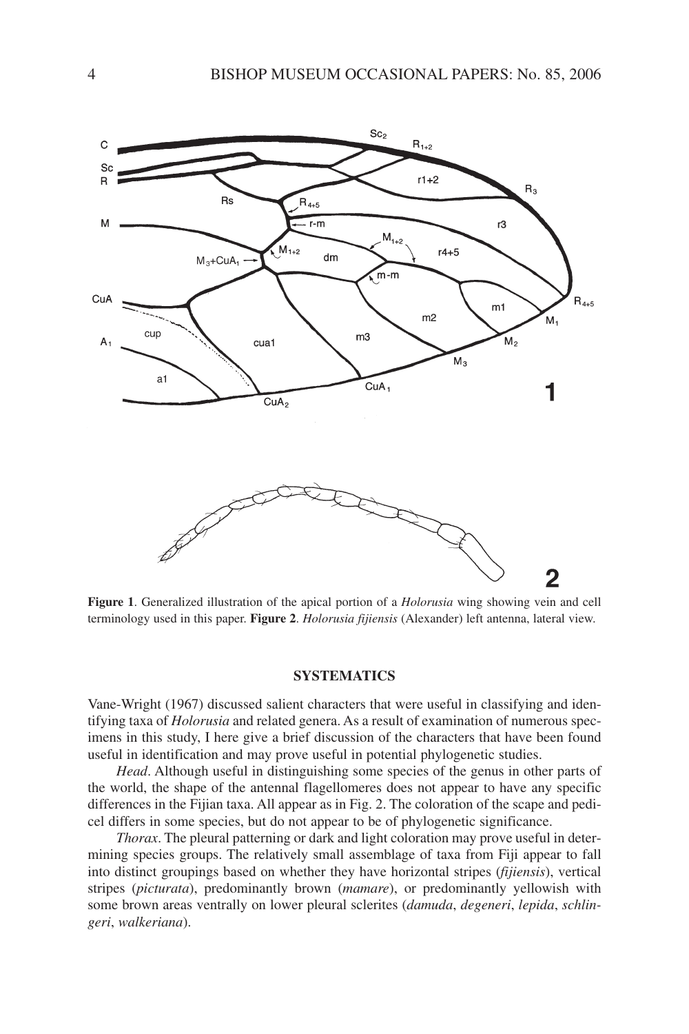

**Figure 1**. Generalized illustration of the apical portion of a *Holorusia* wing showing vein and cell terminology used in this paper. **Figure 2**. *Holorusia fijiensis* (Alexander) left antenna, lateral view.

#### **SYSTEMATICS**

Vane-Wright (1967) discussed salient characters that were useful in classifying and identifying taxa of *Holorusia* and related genera. As a result of examination of numerous specimens in this study, I here give a brief discussion of the characters that have been found useful in identification and may prove useful in potential phylogenetic studies.

*Head*. Although useful in distinguishing some species of the genus in other parts of the world, the shape of the antennal flagellomeres does not appear to have any specific differences in the Fijian taxa. All appear as in Fig. 2. The coloration of the scape and pedicel differs in some species, but do not appear to be of phylogenetic significance.

*Thorax*. The pleural patterning or dark and light coloration may prove useful in determining species groups. The relatively small assemblage of taxa from Fiji appear to fall into distinct groupings based on whether they have horizontal stripes (*fijiensis*), vertical stripes (*picturata*), predominantly brown (*mamare*), or predominantly yellowish with some brown areas ventrally on lower pleural sclerites (*damuda*, *degeneri*, *lepida*, *schlingeri*, *walkeriana*).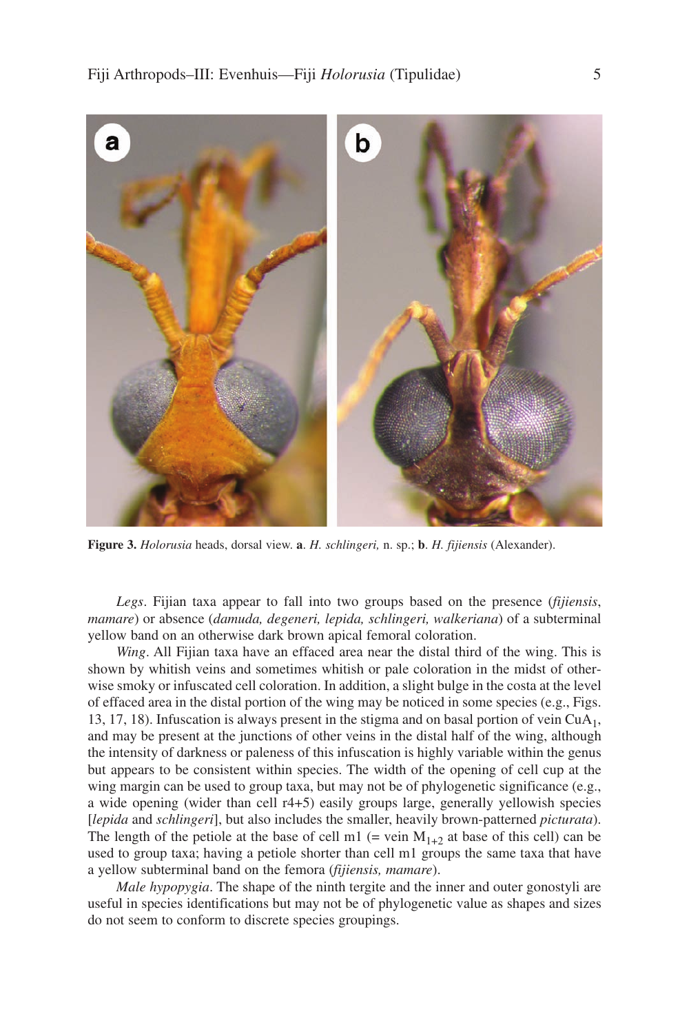

**Figure 3.** *Holorusia* heads, dorsal view. **a**. *H. schlingeri,* n. sp.; **b**. *H. fijiensis* (Alexander).

*Legs*. Fijian taxa appear to fall into two groups based on the presence (*fijiensis*, *mamare*) or absence (*damuda, degeneri, lepida, schlingeri, walkeriana*) of a subterminal yellow band on an otherwise dark brown apical femoral coloration.

*Wing*. All Fijian taxa have an effaced area near the distal third of the wing. This is shown by whitish veins and sometimes whitish or pale coloration in the midst of otherwise smoky or infuscated cell coloration. In addition, a slight bulge in the costa at the level of effaced area in the distal portion of the wing may be noticed in some species (e.g., Figs. 13, 17, 18). Infuscation is always present in the stigma and on basal portion of vein  $CuA<sub>1</sub>$ , and may be present at the junctions of other veins in the distal half of the wing, although the intensity of darkness or paleness of this infuscation is highly variable within the genus but appears to be consistent within species. The width of the opening of cell cup at the wing margin can be used to group taxa, but may not be of phylogenetic significance (e.g., a wide opening (wider than cell r4+5) easily groups large, generally yellowish species [*lepida* and *schlingeri*], but also includes the smaller, heavily brown-patterned *picturata*). The length of the petiole at the base of cell m1 (= vein  $M_{1+2}$  at base of this cell) can be used to group taxa; having a petiole shorter than cell m1 groups the same taxa that have a yellow subterminal band on the femora (*fijiensis, mamare*).

*Male hypopygia*. The shape of the ninth tergite and the inner and outer gonostyli are useful in species identifications but may not be of phylogenetic value as shapes and sizes do not seem to conform to discrete species groupings.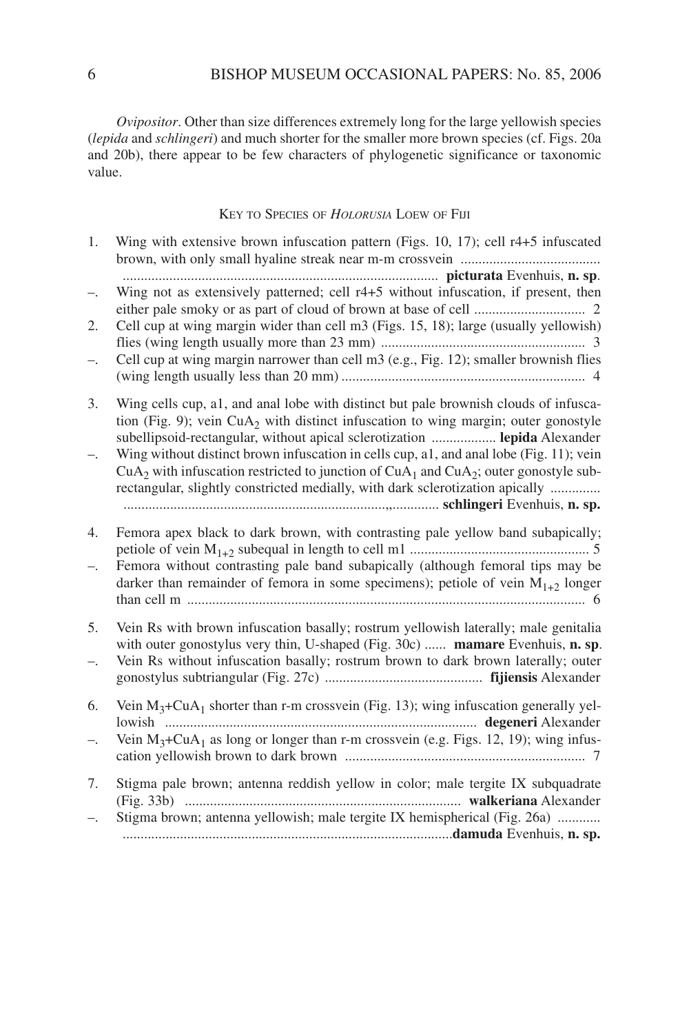*Ovipositor*. Other than size differences extremely long for the large yellowish species (*lepida* and *schlingeri*) and much shorter for the smaller more brown species (cf. Figs. 20a and 20b), there appear to be few characters of phylogenetic significance or taxonomic value.

## KEY TO SPECIES OF *HOLORUSIA* LOEW OF FIJI

| 1.                 | Wing with extensive brown infuscation pattern (Figs. 10, 17); cell r4+5 infuscated                                                                                                                                                                                                                   |
|--------------------|------------------------------------------------------------------------------------------------------------------------------------------------------------------------------------------------------------------------------------------------------------------------------------------------------|
| —.<br>2.           | Wing not as extensively patterned; cell r4+5 without infuscation, if present, then<br>Cell cup at wing margin wider than cell m3 (Figs. 15, 18); large (usually yellowish)                                                                                                                           |
| <sup>--</sup>      | Cell cup at wing margin narrower than cell m3 (e.g., Fig. 12); smaller brownish flies                                                                                                                                                                                                                |
| 3.                 | Wing cells cup, a1, and anal lobe with distinct but pale brownish clouds of infusca-<br>tion (Fig. 9); vein $CuA2$ with distinct infuscation to wing margin; outer gonostyle<br>subellipsoid-rectangular, without apical sclerotization  lepida Alexander                                            |
|                    | Wing without distinct brown infuscation in cells cup, a1, and anal lobe (Fig. 11); vein<br>CuA <sub>2</sub> with infuscation restricted to junction of CuA <sub>1</sub> and CuA <sub>2</sub> ; outer gonostyle sub-<br>rectangular, slightly constricted medially, with dark sclerotization apically |
| 4.<br>—.           | Femora apex black to dark brown, with contrasting pale yellow band subapically;<br>Femora without contrasting pale band subapically (although femoral tips may be<br>darker than remainder of femora in some specimens); petiole of vein $M_{1+2}$ longer                                            |
| 5.<br><sup>-</sup> | Vein Rs with brown infuscation basally; rostrum yellowish laterally; male genitalia<br>with outer gonostylus very thin, U-shaped (Fig. 30c)  mamare Evenhuis, n. sp.<br>Vein Rs without infuscation basally; rostrum brown to dark brown laterally; outer                                            |
| 6.<br>—.           | Vein $M_3$ +CuA <sub>1</sub> shorter than r-m crossvein (Fig. 13); wing infuscation generally yel-<br>degeneri Alexander<br>lowish<br>Vein $M_3$ +CuA <sub>1</sub> as long or longer than r-m crossvein (e.g. Figs. 12, 19); wing infus-                                                             |
| 7.                 | Stigma pale brown; antenna reddish yellow in color; male tergite IX subquadrate<br>Stigma brown; antenna yellowish; male tergite IX hemispherical (Fig. 26a)                                                                                                                                         |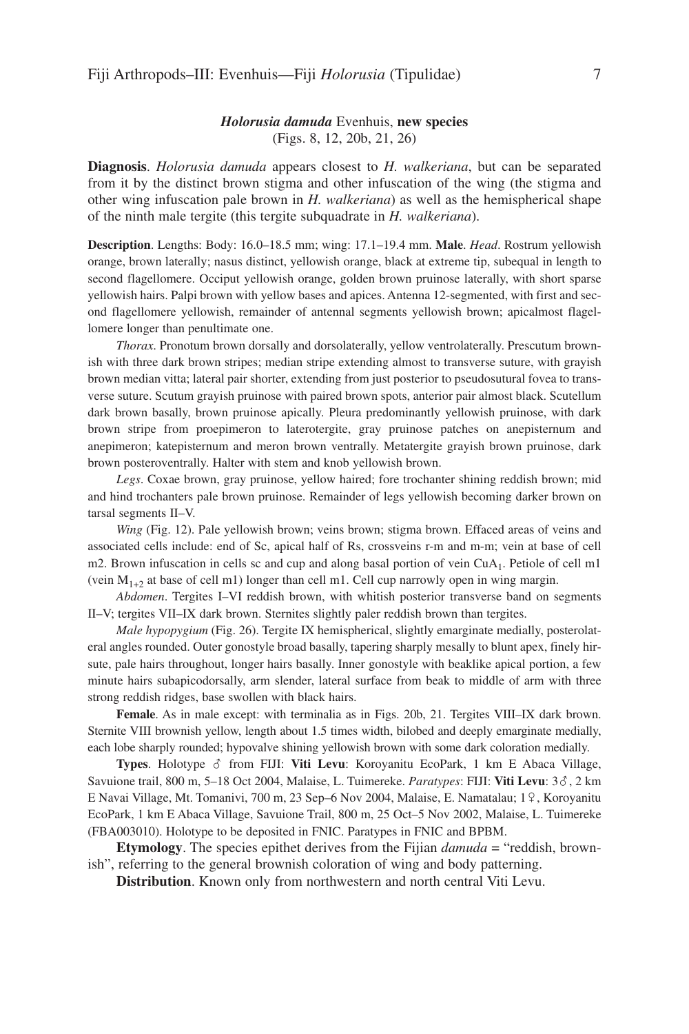### *Holorusia damuda* Evenhuis, **new species** (Figs. 8, 12, 20b, 21, 26)

**Diagnosis**. *Holorusia damuda* appears closest to *H. walkeriana*, but can be separated from it by the distinct brown stigma and other infuscation of the wing (the stigma and other wing infuscation pale brown in *H. walkeriana*) as well as the hemispherical shape of the ninth male tergite (this tergite subquadrate in *H. walkeriana*).

**Description**. Lengths: Body: 16.0–18.5 mm; wing: 17.1–19.4 mm. **Male**. *Head*. Rostrum yellowish orange, brown laterally; nasus distinct, yellowish orange, black at extreme tip, subequal in length to second flagellomere. Occiput yellowish orange, golden brown pruinose laterally, with short sparse yellowish hairs. Palpi brown with yellow bases and apices. Antenna 12-segmented, with first and second flagellomere yellowish, remainder of antennal segments yellowish brown; apicalmost flagellomere longer than penultimate one.

*Thorax*. Pronotum brown dorsally and dorsolaterally, yellow ventrolaterally. Prescutum brownish with three dark brown stripes; median stripe extending almost to transverse suture, with grayish brown median vitta; lateral pair shorter, extending from just posterior to pseudosutural fovea to transverse suture. Scutum grayish pruinose with paired brown spots, anterior pair almost black. Scutellum dark brown basally, brown pruinose apically. Pleura predominantly yellowish pruinose, with dark brown stripe from proepimeron to laterotergite, gray pruinose patches on anepisternum and anepimeron; katepisternum and meron brown ventrally. Metatergite grayish brown pruinose, dark brown posteroventrally. Halter with stem and knob yellowish brown.

*Legs*. Coxae brown, gray pruinose, yellow haired; fore trochanter shining reddish brown; mid and hind trochanters pale brown pruinose. Remainder of legs yellowish becoming darker brown on tarsal segments II–V.

*Wing* (Fig. 12). Pale yellowish brown; veins brown; stigma brown. Effaced areas of veins and associated cells include: end of Sc, apical half of Rs, crossveins r-m and m-m; vein at base of cell m2. Brown infuscation in cells sc and cup and along basal portion of vein CuA<sub>1</sub>. Petiole of cell m1 (vein  $M_{1+2}$  at base of cell m1) longer than cell m1. Cell cup narrowly open in wing margin.

*Abdomen*. Tergites I–VI reddish brown, with whitish posterior transverse band on segments II–V; tergites VII–IX dark brown. Sternites slightly paler reddish brown than tergites.

*Male hypopygium* (Fig. 26). Tergite IX hemispherical, slightly emarginate medially, posterolateral angles rounded. Outer gonostyle broad basally, tapering sharply mesally to blunt apex, finely hirsute, pale hairs throughout, longer hairs basally. Inner gonostyle with beaklike apical portion, a few minute hairs subapicodorsally, arm slender, lateral surface from beak to middle of arm with three strong reddish ridges, base swollen with black hairs.

**Female**. As in male except: with terminalia as in Figs. 20b, 21. Tergites VIII–IX dark brown. Sternite VIII brownish yellow, length about 1.5 times width, bilobed and deeply emarginate medially, each lobe sharply rounded; hypovalve shining yellowish brown with some dark coloration medially.

**Types**. Holotype ? from FIJI: **Viti Levu**: Koroyanitu EcoPark, 1 km E Abaca Village, Savuione trail, 800 m, 5–18 Oct 2004, Malaise, L. Tuimereke. *Paratypes*: FIJI: **Viti Levu**: 3?, 2 km E Navai Village, Mt. Tomanivi, 700 m, 23 Sep–6 Nov 2004, Malaise, E. Namatalau;  $1\degree$ , Koroyanitu EcoPark, 1 km E Abaca Village, Savuione Trail, 800 m, 25 Oct–5 Nov 2002, Malaise, L. Tuimereke (FBA003010). Holotype to be deposited in FNIC. Paratypes in FNIC and BPBM.

**Etymology**. The species epithet derives from the Fijian *damuda* = "reddish, brownish", referring to the general brownish coloration of wing and body patterning.

**Distribution**. Known only from northwestern and north central Viti Levu.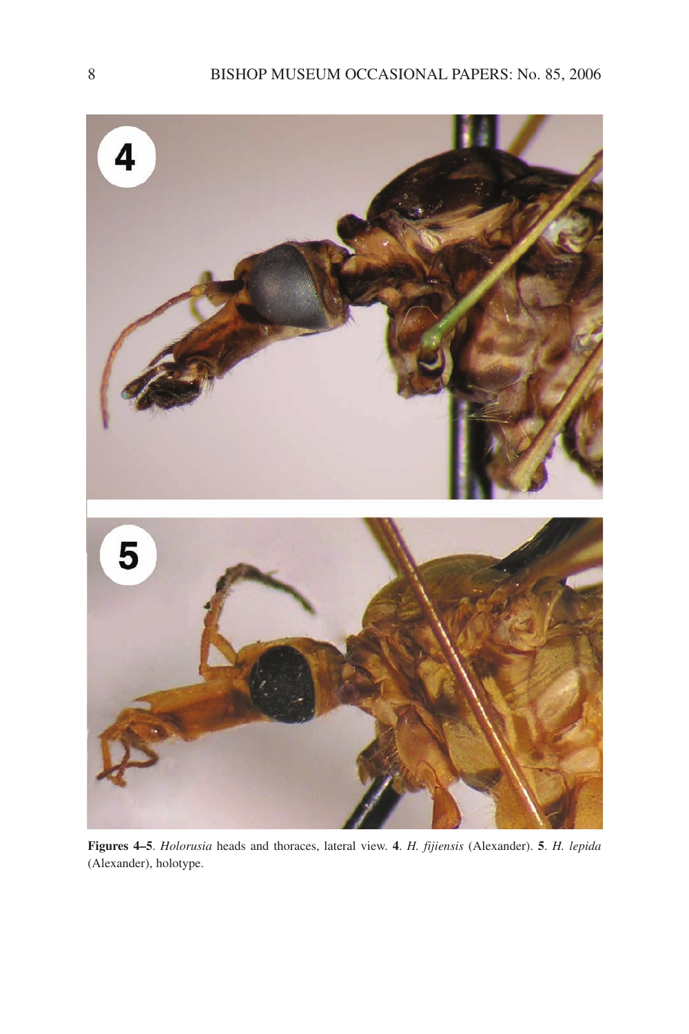

**Figures 4–5**. *Holorusia* heads and thoraces, lateral view. **4**. *H. fijiensis* (Alexander). **5**. *H. lepida* (Alexander), holotype.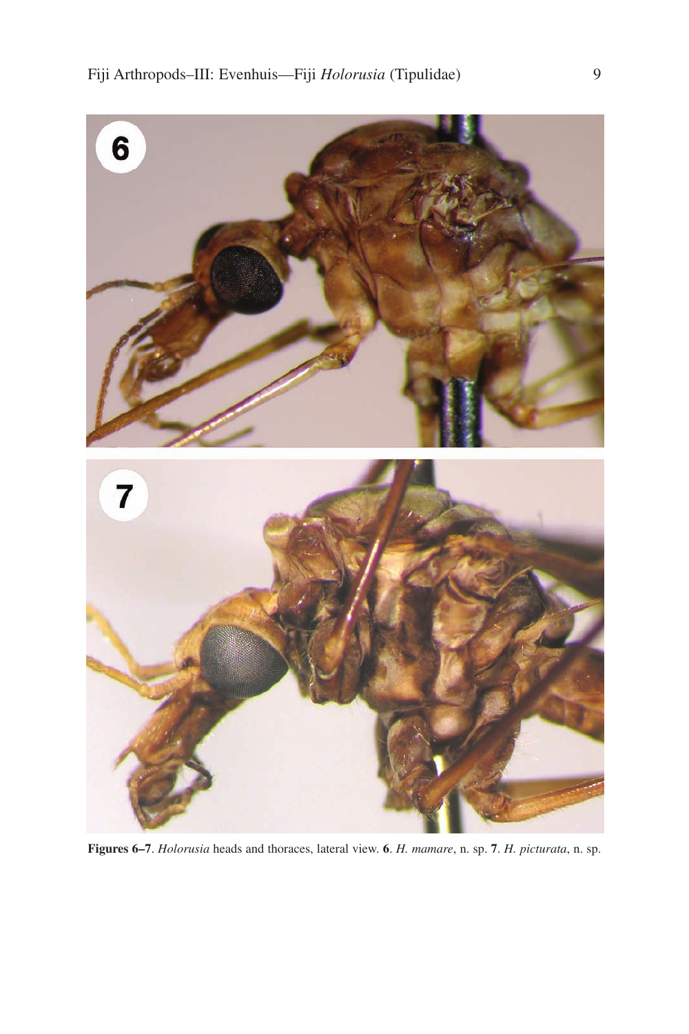

**Figures 6–7**. *Holorusia* heads and thoraces, lateral view. **6**. *H. mamare*, n. sp. **7**. *H. picturata*, n. sp.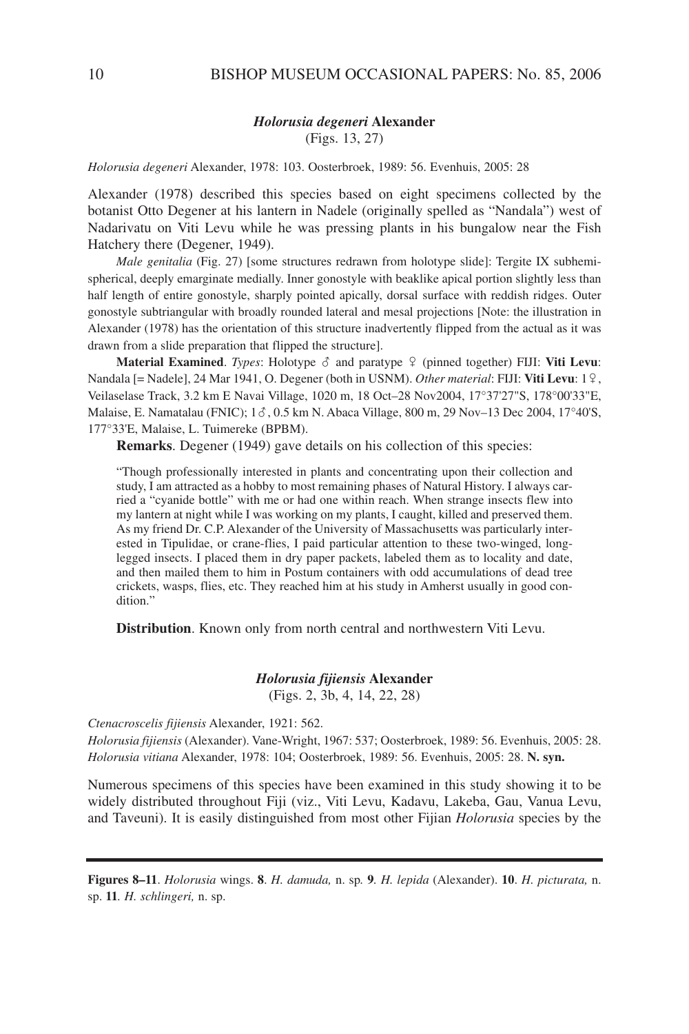#### *Holorusia degeneri* **Alexander**

(Figs. 13, 27)

*Holorusia degeneri* Alexander, 1978: 103. Oosterbroek, 1989: 56. Evenhuis, 2005: 28

Alexander (1978) described this species based on eight specimens collected by the botanist Otto Degener at his lantern in Nadele (originally spelled as "Nandala") west of Nadarivatu on Viti Levu while he was pressing plants in his bungalow near the Fish Hatchery there (Degener, 1949).

*Male genitalia* (Fig. 27) [some structures redrawn from holotype slide]: Tergite IX subhemispherical, deeply emarginate medially. Inner gonostyle with beaklike apical portion slightly less than half length of entire gonostyle, sharply pointed apically, dorsal surface with reddish ridges. Outer gonostyle subtriangular with broadly rounded lateral and mesal projections [Note: the illustration in Alexander (1978) has the orientation of this structure inadvertently flipped from the actual as it was drawn from a slide preparation that flipped the structure].

**Material Examined**. *Types*: Holotype ? and paratype / (pinned together) FIJI: **Viti Levu**: Nandala [= Nadele], 24 Mar 1941, O. Degener (both in USNM). *Other material*: FIJI: **Viti Levu**: 1/, Veilaselase Track, 3.2 km E Navai Village, 1020 m, 18 Oct–28 Nov2004, 17°37'27"S, 178°00'33"E, Malaise, E. Namatalau (FNIC);  $1\delta$ , 0.5 km N. Abaca Village, 800 m, 29 Nov–13 Dec 2004, 17°40'S, 177°33'E, Malaise, L. Tuimereke (BPBM).

**Remarks**. Degener (1949) gave details on his collection of this species:

"Though professionally interested in plants and concentrating upon their collection and study, I am attracted as a hobby to most remaining phases of Natural History. I always carried a "cyanide bottle" with me or had one within reach. When strange insects flew into my lantern at night while I was working on my plants, I caught, killed and preserved them. As my friend Dr. C.P. Alexander of the University of Massachusetts was particularly interested in Tipulidae, or crane-flies, I paid particular attention to these two-winged, longlegged insects. I placed them in dry paper packets, labeled them as to locality and date, and then mailed them to him in Postum containers with odd accumulations of dead tree crickets, wasps, flies, etc. They reached him at his study in Amherst usually in good condition."

**Distribution**. Known only from north central and northwestern Viti Levu.

### *Holorusia fijiensis* **Alexander** (Figs. 2, 3b, 4, 14, 22, 28)

*Ctenacroscelis fijiensis* Alexander, 1921: 562.

*Holorusia fijiensis* (Alexander). Vane-Wright, 1967: 537; Oosterbroek, 1989: 56. Evenhuis, 2005: 28. *Holorusia vitiana* Alexander, 1978: 104; Oosterbroek, 1989: 56. Evenhuis, 2005: 28. **N. syn.**

Numerous specimens of this species have been examined in this study showing it to be widely distributed throughout Fiji (viz., Viti Levu, Kadavu, Lakeba, Gau, Vanua Levu, and Taveuni). It is easily distinguished from most other Fijian *Holorusia* species by the

**Figures 8–11**. *Holorusia* wings. **8**. *H. damuda,* n. sp*.* **9***. H. lepida* (Alexander). **10**. *H. picturata,* n. sp. **11***. H. schlingeri,* n. sp.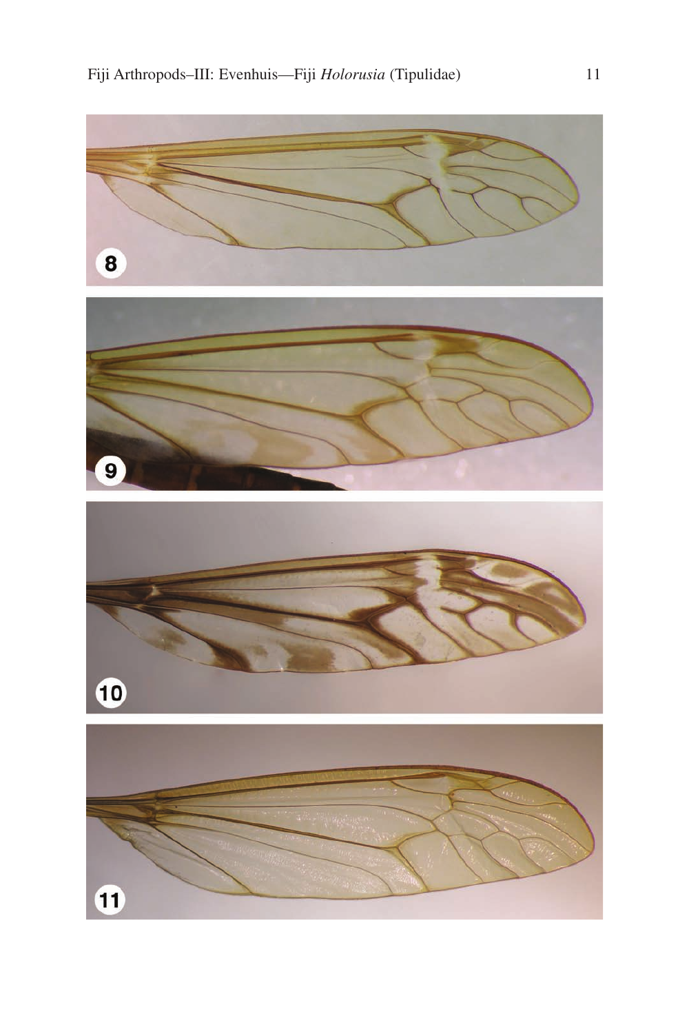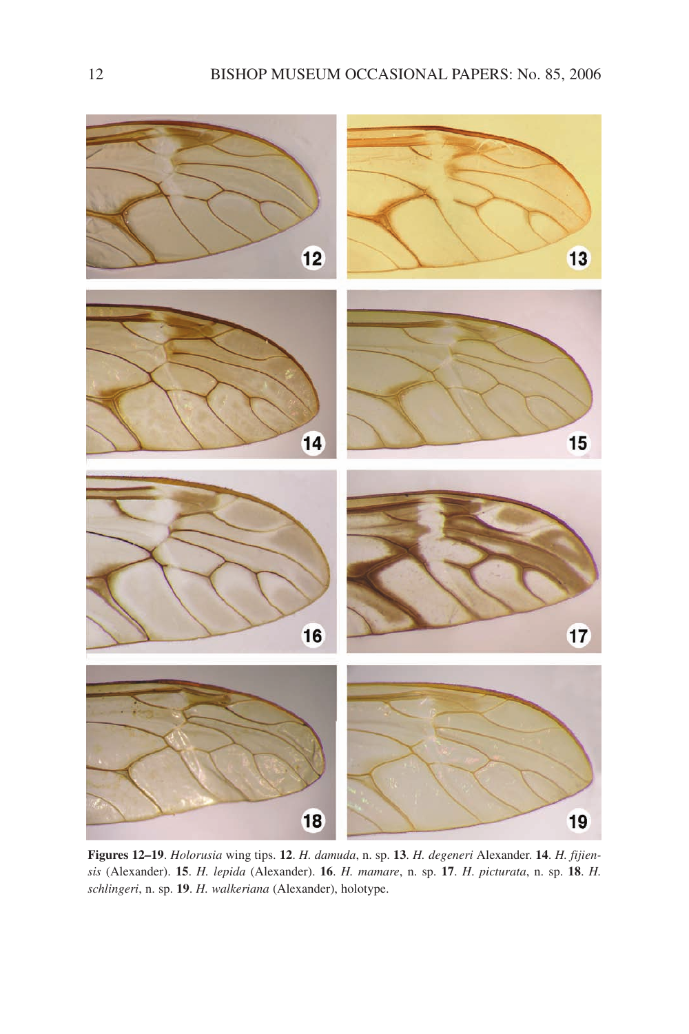

**Figures 12–19**. *Holorusia* wing tips. **12**. *H. damuda*, n. sp. **13**. *H. degeneri* Alexander. **14**. *H. fijiensis* (Alexander). **15**. *H. lepida* (Alexander). **16**. *H. mamare*, n. sp. **17**. *H*. *picturata*, n. sp. **18**. *H. schlingeri*, n. sp. **19**. *H. walkeriana* (Alexander), holotype.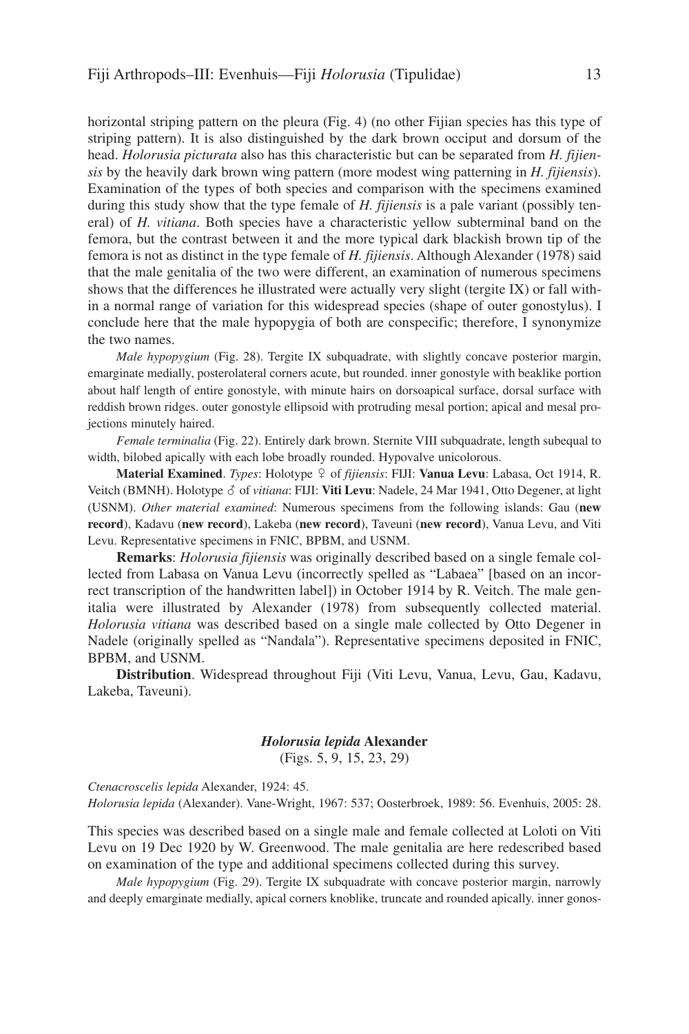horizontal striping pattern on the pleura (Fig. 4) (no other Fijian species has this type of striping pattern). It is also distinguished by the dark brown occiput and dorsum of the head. *Holorusia picturata* also has this characteristic but can be separated from *H. fijiensis* by the heavily dark brown wing pattern (more modest wing patterning in *H. fijiensis*). Examination of the types of both species and comparison with the specimens examined during this study show that the type female of *H. fijiensis* is a pale variant (possibly teneral) of *H. vitiana*. Both species have a characteristic yellow subterminal band on the femora, but the contrast between it and the more typical dark blackish brown tip of the femora is not as distinct in the type female of *H. fijiensis*. Although Alexander (1978) said that the male genitalia of the two were different, an examination of numerous specimens shows that the differences he illustrated were actually very slight (tergite IX) or fall within a normal range of variation for this widespread species (shape of outer gonostylus). I conclude here that the male hypopygia of both are conspecific; therefore, I synonymize the two names.

*Male hypopygium* (Fig. 28). Tergite IX subquadrate, with slightly concave posterior margin, emarginate medially, posterolateral corners acute, but rounded. inner gonostyle with beaklike portion about half length of entire gonostyle, with minute hairs on dorsoapical surface, dorsal surface with reddish brown ridges. outer gonostyle ellipsoid with protruding mesal portion; apical and mesal projections minutely haired.

*Female terminalia* (Fig. 22). Entirely dark brown. Sternite VIII subquadrate, length subequal to width, bilobed apically with each lobe broadly rounded. Hypovalve unicolorous.

**Material Examined**. *Types*: Holotype / of *fijiensis*: FIJI: **Vanua Levu**: Labasa, Oct 1914, R. Veitch (BMNH). Holotype ? of *vitiana*: FIJI: **Viti Levu**: Nadele, 24 Mar 1941, Otto Degener, at light (USNM). *Other material examined*: Numerous specimens from the following islands: Gau (**new record**), Kadavu (**new record**), Lakeba (**new record**), Taveuni (**new record**), Vanua Levu, and Viti Levu. Representative specimens in FNIC, BPBM, and USNM.

**Remarks**: *Holorusia fijiensis* was originally described based on a single female collected from Labasa on Vanua Levu (incorrectly spelled as "Labaea" [based on an incorrect transcription of the handwritten label]) in October 1914 by R. Veitch. The male genitalia were illustrated by Alexander (1978) from subsequently collected material. *Holorusia vitiana* was described based on a single male collected by Otto Degener in Nadele (originally spelled as "Nandala"). Representative specimens deposited in FNIC, BPBM, and USNM.

**Distribution**. Widespread throughout Fiji (Viti Levu, Vanua, Levu, Gau, Kadavu, Lakeba, Taveuni).

### *Holorusia lepida* **Alexander**

(Figs. 5, 9, 15, 23, 29)

*Ctenacroscelis lepida* Alexander, 1924: 45. *Holorusia lepida* (Alexander). Vane-Wright, 1967: 537; Oosterbroek, 1989: 56. Evenhuis, 2005: 28.

This species was described based on a single male and female collected at Loloti on Viti

Levu on 19 Dec 1920 by W. Greenwood. The male genitalia are here redescribed based on examination of the type and additional specimens collected during this survey.

*Male hypopygium* (Fig. 29). Tergite IX subquadrate with concave posterior margin, narrowly and deeply emarginate medially, apical corners knoblike, truncate and rounded apically. inner gonos-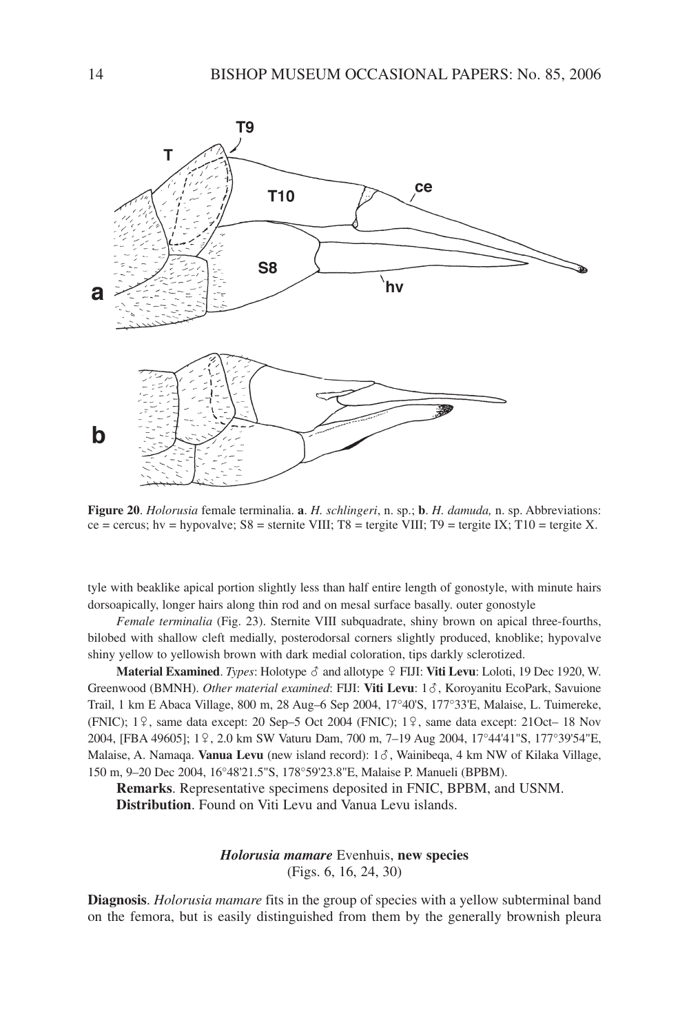

**Figure 20**. *Holorusia* female terminalia. **a**. *H. schlingeri*, n. sp.; **b**. *H. damuda,* n. sp. Abbreviations: ce = cercus; hv = hypovalve;  $S8$  = sternite VIII; T8 = tergite VIII; T9 = tergite IX; T10 = tergite X.

tyle with beaklike apical portion slightly less than half entire length of gonostyle, with minute hairs dorsoapically, longer hairs along thin rod and on mesal surface basally. outer gonostyle

*Female terminalia* (Fig. 23). Sternite VIII subquadrate, shiny brown on apical three-fourths, bilobed with shallow cleft medially, posterodorsal corners slightly produced, knoblike; hypovalve shiny yellow to yellowish brown with dark medial coloration, tips darkly sclerotized.

**Material Examined**. *Types*: Holotype ? and allotype / FIJI: **Viti Levu**: Loloti, 19 Dec 1920, W. Greenwood (BMNH). *Other material examined*: FIJI: **Viti Levu**: 1?, Koroyanitu EcoPark, Savuione Trail, 1 km E Abaca Village, 800 m, 28 Aug–6 Sep 2004, 17°40'S, 177°33'E, Malaise, L. Tuimereke, (FNIC);  $1\frac{9}{7}$ , same data except: 20 Sep–5 Oct 2004 (FNIC);  $1\frac{9}{7}$ , same data except: 21Oct– 18 Nov 2004, [FBA 49605]; 1 º, 2.0 km SW Vaturu Dam, 700 m, 7-19 Aug 2004, 17°44'41"S, 177°39'54"E, Malaise, A. Namaqa. **Vanua Levu** (new island record): 1?, Wainibeqa, 4 km NW of Kilaka Village, 150 m, 9–20 Dec 2004, 16°48'21.5"S, 178°59'23.8"E, Malaise P. Manueli (BPBM).

**Remarks**. Representative specimens deposited in FNIC, BPBM, and USNM. **Distribution**. Found on Viti Levu and Vanua Levu islands.

> *Holorusia mamare* Evenhuis, **new species** (Figs. 6, 16, 24, 30)

**Diagnosis**. *Holorusia mamare* fits in the group of species with a yellow subterminal band on the femora, but is easily distinguished from them by the generally brownish pleura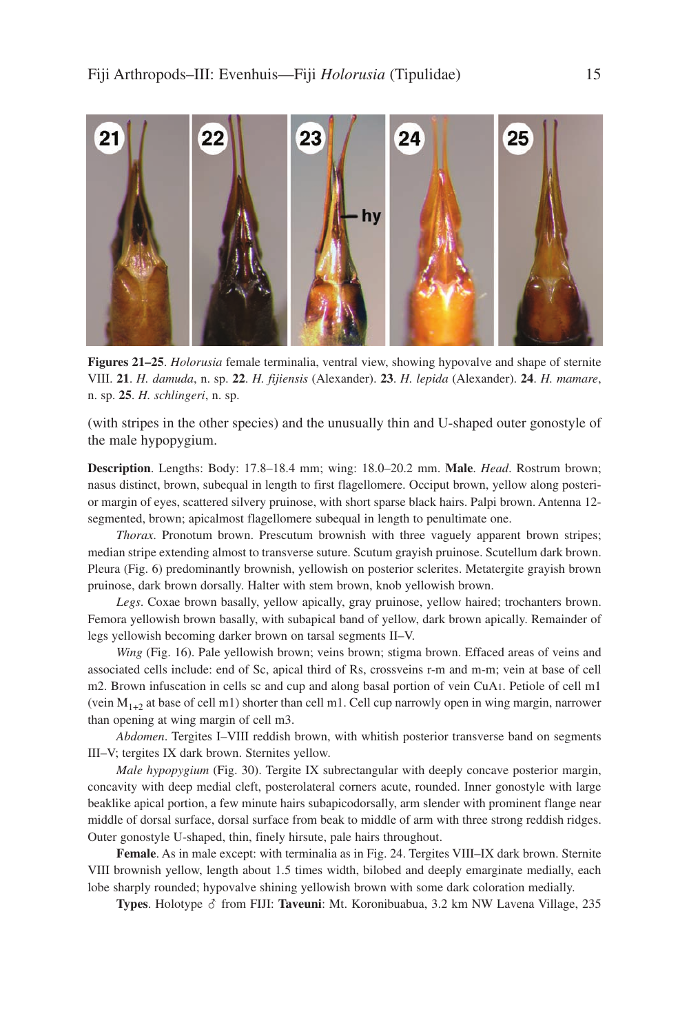

**Figures 21–25**. *Holorusia* female terminalia, ventral view, showing hypovalve and shape of sternite VIII. **21**. *H. damuda*, n. sp. **22**. *H. fijiensis* (Alexander). **23**. *H. lepida* (Alexander). **24**. *H. mamare*, n. sp. **25**. *H. schlingeri*, n. sp.

(with stripes in the other species) and the unusually thin and U-shaped outer gonostyle of the male hypopygium.

**Description**. Lengths: Body: 17.8–18.4 mm; wing: 18.0–20.2 mm. **Male**. *Head*. Rostrum brown; nasus distinct, brown, subequal in length to first flagellomere. Occiput brown, yellow along posterior margin of eyes, scattered silvery pruinose, with short sparse black hairs. Palpi brown. Antenna 12 segmented, brown; apicalmost flagellomere subequal in length to penultimate one.

*Thorax*. Pronotum brown. Prescutum brownish with three vaguely apparent brown stripes; median stripe extending almost to transverse suture. Scutum grayish pruinose. Scutellum dark brown. Pleura (Fig. 6) predominantly brownish, yellowish on posterior sclerites. Metatergite grayish brown pruinose, dark brown dorsally. Halter with stem brown, knob yellowish brown.

*Legs*. Coxae brown basally, yellow apically, gray pruinose, yellow haired; trochanters brown. Femora yellowish brown basally, with subapical band of yellow, dark brown apically. Remainder of legs yellowish becoming darker brown on tarsal segments II–V.

*Wing* (Fig. 16). Pale yellowish brown; veins brown; stigma brown. Effaced areas of veins and associated cells include: end of Sc, apical third of Rs, crossveins r-m and m-m; vein at base of cell m2. Brown infuscation in cells sc and cup and along basal portion of vein CuA1. Petiole of cell m1 (vein  $M_{1+2}$  at base of cell m1) shorter than cell m1. Cell cup narrowly open in wing margin, narrower than opening at wing margin of cell m3.

*Abdomen*. Tergites I–VIII reddish brown, with whitish posterior transverse band on segments III–V; tergites IX dark brown. Sternites yellow.

*Male hypopygium* (Fig. 30). Tergite IX subrectangular with deeply concave posterior margin, concavity with deep medial cleft, posterolateral corners acute, rounded. Inner gonostyle with large beaklike apical portion, a few minute hairs subapicodorsally, arm slender with prominent flange near middle of dorsal surface, dorsal surface from beak to middle of arm with three strong reddish ridges. Outer gonostyle U-shaped, thin, finely hirsute, pale hairs throughout.

**Female**. As in male except: with terminalia as in Fig. 24. Tergites VIII–IX dark brown. Sternite VIII brownish yellow, length about 1.5 times width, bilobed and deeply emarginate medially, each lobe sharply rounded; hypovalve shining yellowish brown with some dark coloration medially.

**Types**. Holotype ? from FIJI: **Taveuni**: Mt. Koronibuabua, 3.2 km NW Lavena Village, 235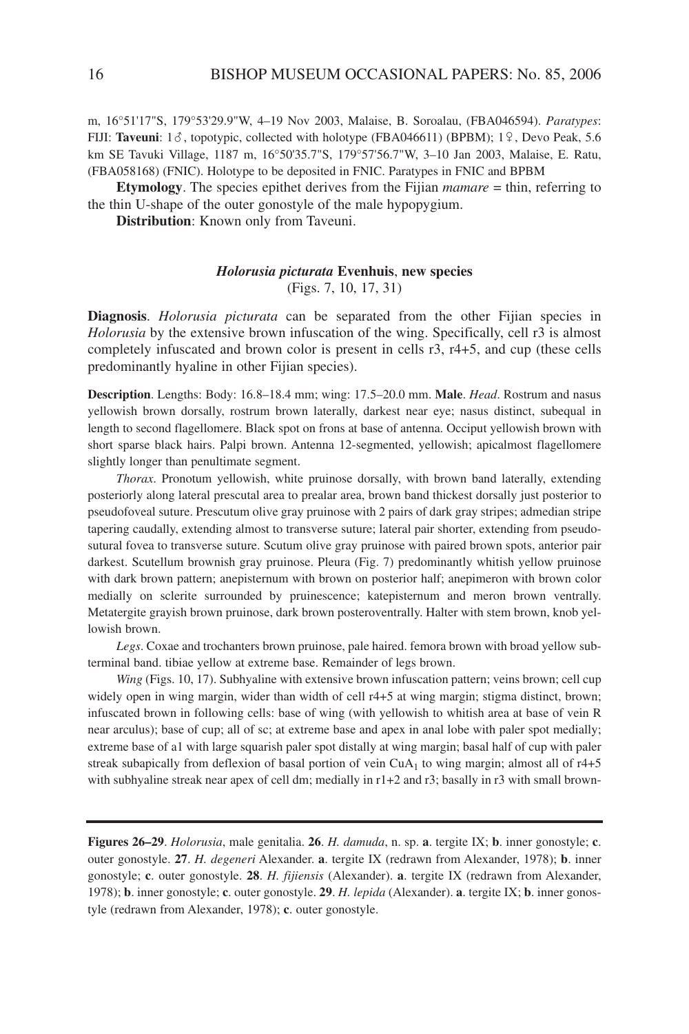m, 16°51'17"S, 179°53'29.9"W, 4–19 Nov 2003, Malaise, B. Soroalau, (FBA046594). *Paratypes*: FIJI: Taveuni: 1 $\delta$ , topotypic, collected with holotype (FBA046611) (BPBM); 1 $\Omega$ , Devo Peak, 5.6 km SE Tavuki Village, 1187 m, 16°50'35.7"S, 179°57'56.7"W, 3–10 Jan 2003, Malaise, E. Ratu, (FBA058168) (FNIC). Holotype to be deposited in FNIC. Paratypes in FNIC and BPBM

**Etymology**. The species epithet derives from the Fijian *mamare* = thin, referring to the thin U-shape of the outer gonostyle of the male hypopygium.

**Distribution**: Known only from Taveuni.

#### *Holorusia picturata* **Evenhuis**, **new species** (Figs. 7, 10, 17, 31)

**Diagnosis**. *Holorusia picturata* can be separated from the other Fijian species in *Holorusia* by the extensive brown infuscation of the wing. Specifically, cell r3 is almost completely infuscated and brown color is present in cells r3, r4+5, and cup (these cells predominantly hyaline in other Fijian species).

**Description**. Lengths: Body: 16.8–18.4 mm; wing: 17.5–20.0 mm. **Male**. *Head*. Rostrum and nasus yellowish brown dorsally, rostrum brown laterally, darkest near eye; nasus distinct, subequal in length to second flagellomere. Black spot on frons at base of antenna. Occiput yellowish brown with short sparse black hairs. Palpi brown. Antenna 12-segmented, yellowish; apicalmost flagellomere slightly longer than penultimate segment.

*Thorax*. Pronotum yellowish, white pruinose dorsally, with brown band laterally, extending posteriorly along lateral prescutal area to prealar area, brown band thickest dorsally just posterior to pseudofoveal suture. Prescutum olive gray pruinose with 2 pairs of dark gray stripes; admedian stripe tapering caudally, extending almost to transverse suture; lateral pair shorter, extending from pseudosutural fovea to transverse suture. Scutum olive gray pruinose with paired brown spots, anterior pair darkest. Scutellum brownish gray pruinose. Pleura (Fig. 7) predominantly whitish yellow pruinose with dark brown pattern; anepisternum with brown on posterior half; anepimeron with brown color medially on sclerite surrounded by pruinescence; katepisternum and meron brown ventrally. Metatergite grayish brown pruinose, dark brown posteroventrally. Halter with stem brown, knob yellowish brown.

*Legs*. Coxae and trochanters brown pruinose, pale haired. femora brown with broad yellow subterminal band. tibiae yellow at extreme base. Remainder of legs brown.

*Wing* (Figs. 10, 17). Subhyaline with extensive brown infuscation pattern; veins brown; cell cup widely open in wing margin, wider than width of cell r4+5 at wing margin; stigma distinct, brown; infuscated brown in following cells: base of wing (with yellowish to whitish area at base of vein R near arculus); base of cup; all of sc; at extreme base and apex in anal lobe with paler spot medially; extreme base of a1 with large squarish paler spot distally at wing margin; basal half of cup with paler streak subapically from deflexion of basal portion of vein  $CuA<sub>1</sub>$  to wing margin; almost all of r4+5 with subhyaline streak near apex of cell dm; medially in  $r1+2$  and  $r3$ ; basally in  $r3$  with small brown-

**Figures 26–29**. *Holorusia*, male genitalia. **26**. *H. damuda*, n. sp. **a**. tergite IX; **b**. inner gonostyle; **c**. outer gonostyle. **27**. *H. degeneri* Alexander. **a**. tergite IX (redrawn from Alexander, 1978); **b**. inner gonostyle; **c**. outer gonostyle. **28**. *H. fijiensis* (Alexander). **a**. tergite IX (redrawn from Alexander, 1978); **b**. inner gonostyle; **c**. outer gonostyle. **29**. *H. lepida* (Alexander). **a**. tergite IX; **b**. inner gonostyle (redrawn from Alexander, 1978); **c**. outer gonostyle.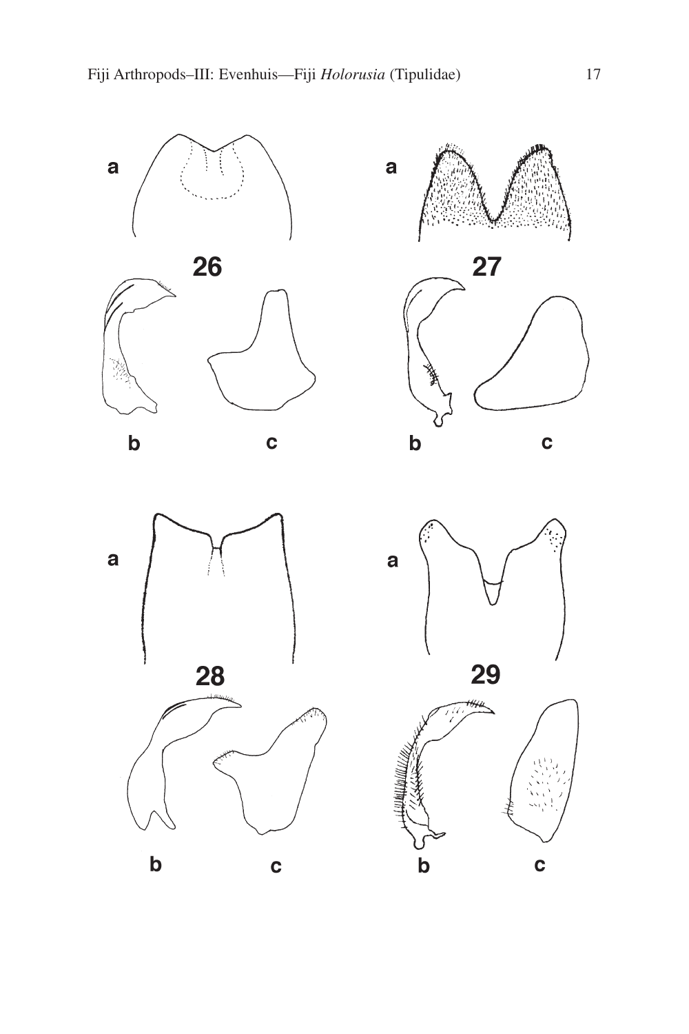







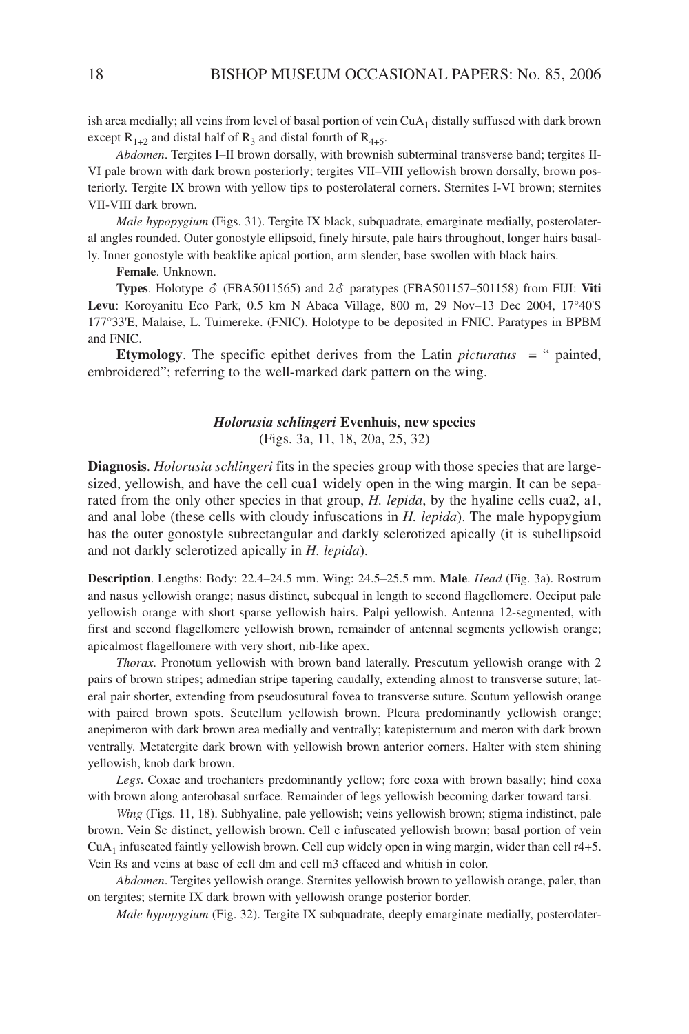ish area medially; all veins from level of basal portion of vein  $CuA<sub>1</sub>$  distally suffused with dark brown except  $R_{1+2}$  and distal half of  $R_3$  and distal fourth of  $R_{4+5}$ .

*Abdomen*. Tergites I–II brown dorsally, with brownish subterminal transverse band; tergites II-VI pale brown with dark brown posteriorly; tergites VII–VIII yellowish brown dorsally, brown posteriorly. Tergite IX brown with yellow tips to posterolateral corners. Sternites I-VI brown; sternites VII-VIII dark brown.

*Male hypopygium* (Figs. 31). Tergite IX black, subquadrate, emarginate medially, posterolateral angles rounded. Outer gonostyle ellipsoid, finely hirsute, pale hairs throughout, longer hairs basally. Inner gonostyle with beaklike apical portion, arm slender, base swollen with black hairs.

**Female**. Unknown.

**Types**. Holotype ? (FBA5011565) and 2? paratypes (FBA501157–501158) from FIJI: **Viti Levu**: Koroyanitu Eco Park, 0.5 km N Abaca Village, 800 m, 29 Nov–13 Dec 2004, 17°40'S 177°33'E, Malaise, L. Tuimereke. (FNIC). Holotype to be deposited in FNIC. Paratypes in BPBM and FNIC.

**Etymology**. The specific epithet derives from the Latin *picturatus* = " painted, embroidered"; referring to the well-marked dark pattern on the wing.

#### *Holorusia schlingeri* **Evenhuis**, **new species**

(Figs. 3a, 11, 18, 20a, 25, 32)

**Diagnosis**. *Holorusia schlingeri* fits in the species group with those species that are largesized, yellowish, and have the cell cua1 widely open in the wing margin. It can be separated from the only other species in that group, *H. lepida*, by the hyaline cells cua2, a1, and anal lobe (these cells with cloudy infuscations in *H. lepida*). The male hypopygium has the outer gonostyle subrectangular and darkly sclerotized apically (it is subellipsoid and not darkly sclerotized apically in *H. lepida*).

**Description**. Lengths: Body: 22.4–24.5 mm. Wing: 24.5–25.5 mm. **Male**. *Head* (Fig. 3a). Rostrum and nasus yellowish orange; nasus distinct, subequal in length to second flagellomere. Occiput pale yellowish orange with short sparse yellowish hairs. Palpi yellowish. Antenna 12-segmented, with first and second flagellomere yellowish brown, remainder of antennal segments yellowish orange; apicalmost flagellomere with very short, nib-like apex.

*Thorax*. Pronotum yellowish with brown band laterally. Prescutum yellowish orange with 2 pairs of brown stripes; admedian stripe tapering caudally, extending almost to transverse suture; lateral pair shorter, extending from pseudosutural fovea to transverse suture. Scutum yellowish orange with paired brown spots. Scutellum yellowish brown. Pleura predominantly yellowish orange; anepimeron with dark brown area medially and ventrally; katepisternum and meron with dark brown ventrally. Metatergite dark brown with yellowish brown anterior corners. Halter with stem shining yellowish, knob dark brown.

*Legs*. Coxae and trochanters predominantly yellow; fore coxa with brown basally; hind coxa with brown along anterobasal surface. Remainder of legs yellowish becoming darker toward tarsi.

*Wing* (Figs. 11, 18). Subhyaline, pale yellowish; veins yellowish brown; stigma indistinct, pale brown. Vein Sc distinct, yellowish brown. Cell c infuscated yellowish brown; basal portion of vein CuA1 infuscated faintly yellowish brown. Cell cup widely open in wing margin, wider than cell r4+5. Vein Rs and veins at base of cell dm and cell m3 effaced and whitish in color.

*Abdomen*. Tergites yellowish orange. Sternites yellowish brown to yellowish orange, paler, than on tergites; sternite IX dark brown with yellowish orange posterior border.

*Male hypopygium* (Fig. 32). Tergite IX subquadrate, deeply emarginate medially, posterolater-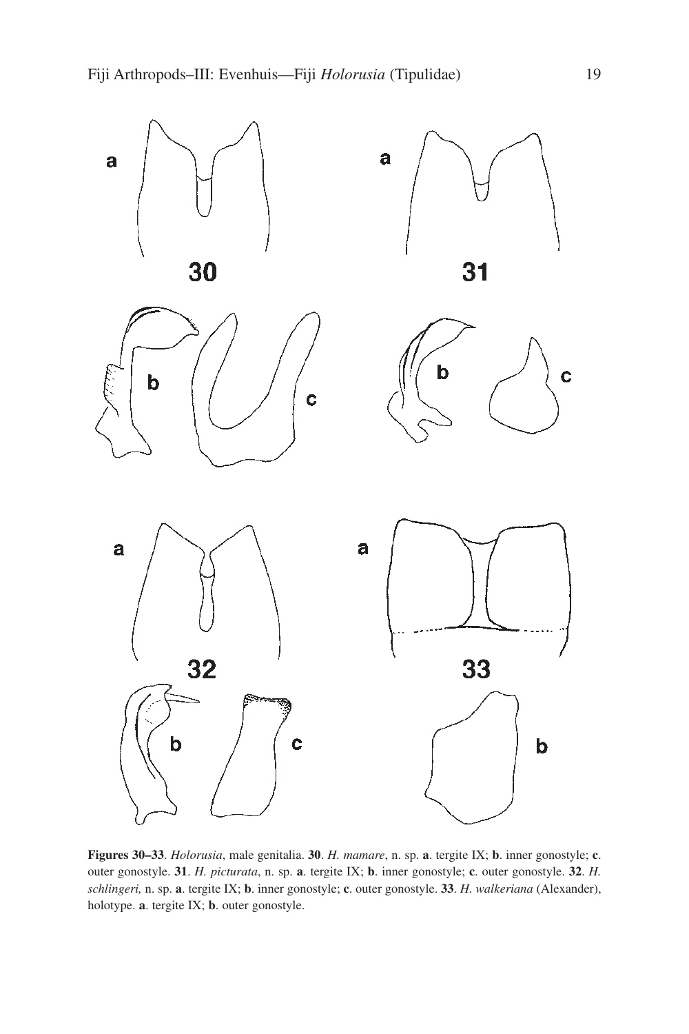

**Figures 30–33**. *Holorusia*, male genitalia. **30**. *H. mamare*, n. sp. **a**. tergite IX; **b**. inner gonostyle; **c**. outer gonostyle. **31**. *H. picturata*, n. sp. **a**. tergite IX; **b**. inner gonostyle; **c**. outer gonostyle. **32**. *H. schlingeri,* n. sp. **a**. tergite IX; **b**. inner gonostyle; **c**. outer gonostyle. **33**. *H. walkeriana* (Alexander), holotype. **a**. tergite IX; **b**. outer gonostyle.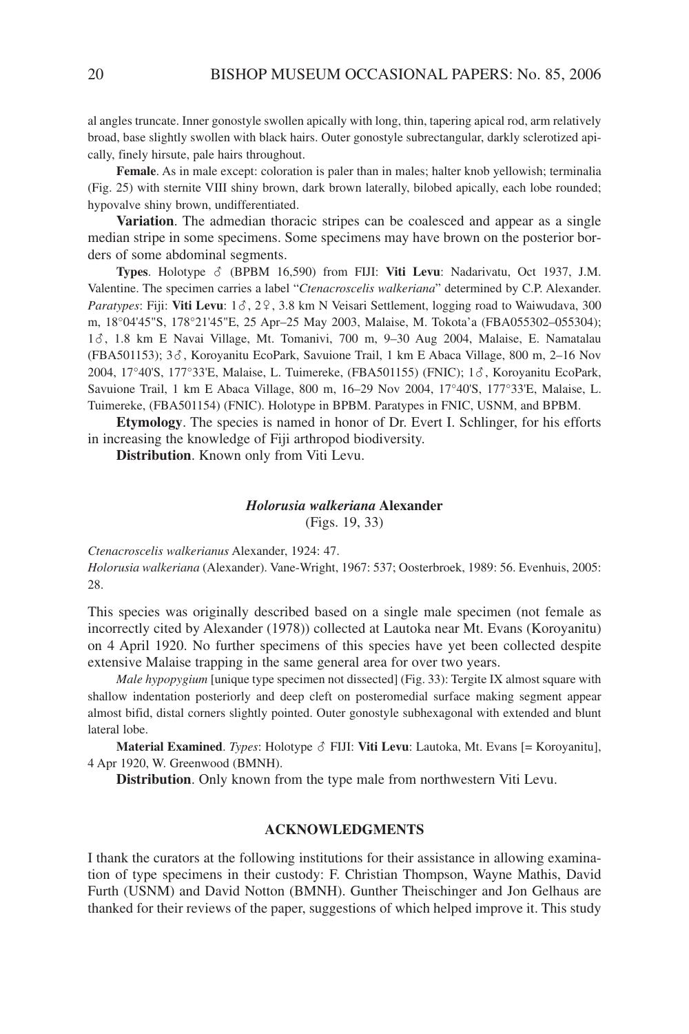al angles truncate. Inner gonostyle swollen apically with long, thin, tapering apical rod, arm relatively broad, base slightly swollen with black hairs. Outer gonostyle subrectangular, darkly sclerotized apically, finely hirsute, pale hairs throughout.

**Female**. As in male except: coloration is paler than in males; halter knob yellowish; terminalia (Fig. 25) with sternite VIII shiny brown, dark brown laterally, bilobed apically, each lobe rounded; hypovalve shiny brown, undifferentiated.

**Variation**. The admedian thoracic stripes can be coalesced and appear as a single median stripe in some specimens. Some specimens may have brown on the posterior borders of some abdominal segments.

**Types**. Holotype ? (BPBM 16,590) from FIJI: **Viti Levu**: Nadarivatu, Oct 1937, J.M. Valentine. The specimen carries a label "*Ctenacroscelis walkeriana*" determined by C.P. Alexander. *Paratypes*: Fiji: Viti Levu:  $1\delta$ ,  $2\epsilon$ ,  $3.8$  km N Veisari Settlement, logging road to Waiwudava, 300 m, 18°04'45"S, 178°21'45"E, 25 Apr–25 May 2003, Malaise, M. Tokota'a (FBA055302–055304); 1?, 1.8 km E Navai Village, Mt. Tomanivi, 700 m, 9–30 Aug 2004, Malaise, E. Namatalau (FBA501153); 3?, Koroyanitu EcoPark, Savuione Trail, 1 km E Abaca Village, 800 m, 2–16 Nov 2004, 17°40'S, 177°33'E, Malaise, L. Tuimereke, (FBA501155) (FNIC); 1 $\delta$ , Koroyanitu EcoPark, Savuione Trail, 1 km E Abaca Village, 800 m, 16–29 Nov 2004, 17°40'S, 177°33'E, Malaise, L. Tuimereke, (FBA501154) (FNIC). Holotype in BPBM. Paratypes in FNIC, USNM, and BPBM.

**Etymology**. The species is named in honor of Dr. Evert I. Schlinger, for his efforts in increasing the knowledge of Fiji arthropod biodiversity.

**Distribution**. Known only from Viti Levu.

#### *Holorusia walkeriana* **Alexander** (Figs. 19, 33)

*Ctenacroscelis walkerianus* Alexander, 1924: 47.

*Holorusia walkeriana* (Alexander). Vane-Wright, 1967: 537; Oosterbroek, 1989: 56. Evenhuis, 2005: 28.

This species was originally described based on a single male specimen (not female as incorrectly cited by Alexander (1978)) collected at Lautoka near Mt. Evans (Koroyanitu) on 4 April 1920. No further specimens of this species have yet been collected despite extensive Malaise trapping in the same general area for over two years.

*Male hypopygium* [unique type specimen not dissected] (Fig. 33): Tergite IX almost square with shallow indentation posteriorly and deep cleft on posteromedial surface making segment appear almost bifid, distal corners slightly pointed. Outer gonostyle subhexagonal with extended and blunt lateral lobe.

**Material Examined**. *Types*: Holotype ? FIJI: **Viti Levu**: Lautoka, Mt. Evans [= Koroyanitu], 4 Apr 1920, W. Greenwood (BMNH).

**Distribution**. Only known from the type male from northwestern Viti Levu.

#### **ACKNOWLEDGMENTS**

I thank the curators at the following institutions for their assistance in allowing examination of type specimens in their custody: F. Christian Thompson, Wayne Mathis, David Furth (USNM) and David Notton (BMNH). Gunther Theischinger and Jon Gelhaus are thanked for their reviews of the paper, suggestions of which helped improve it. This study